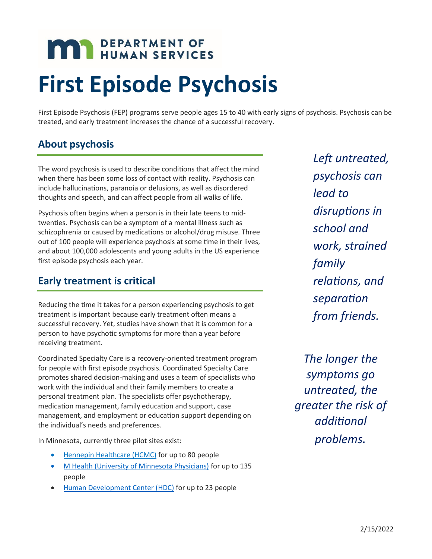# **MAY DEPARTMENT OF HUMAN SERVICES**

## **First Episode Psychosis**

First Episode Psychosis (FEP) programs serve people ages 15 to 40 with early signs of psychosis. Psychosis can be treated, and early treatment increases the chance of a successful recovery.

#### **About psychosis**

The word psychosis is used to describe conditions that affect the mind when there has been some loss of contact with reality. Psychosis can include hallucinations, paranoia or delusions, as well as disordered thoughts and speech, and can affect people from all walks of life.

Psychosis often begins when a person is in their late teens to midtwenties. Psychosis can be a symptom of a mental illness such as schizophrenia or caused by medications or alcohol/drug misuse. Three out of 100 people will experience psychosis at some time in their lives, and about 100,000 adolescents and young adults in the US experience first episode psychosis each year.

#### **Early treatment is critical**

Reducing the time it takes for a person experiencing psychosis to get treatment is important because early treatment often means a successful recovery. Yet, studies have shown that it is common for a person to have psychotic symptoms for more than a year before receiving treatment.

Coordinated Specialty Care is a recovery-oriented treatment program for people with first episode psychosis. Coordinated Specialty Care promotes shared decision-making and uses a team of specialists who work with the individual and their family members to create a personal treatment plan. The specialists offer psychotherapy, medication management, family education and support, case management, and employment or education support depending on the individual's needs and preferences.

In Minnesota, currently three pilot sites exist:

- [Hennepin Healthcare \(HCMC\)](https://www.hennepinhealthcare.org/specialty/psychiatry/the-hope-program/) for up to 80 people
- [M Health \(University of Minnesota Physicians\)](https://mhealthfairview.org/conditions/Psychosis-First-Episode) for up to 135 people
- [Human Development Center \(HDC\)](https://www.humandevelopmentcenter.org/programs/adolescent/) for up to 23 people

*Left untreated, psychosis can lead to disruptions in school and work, strained family relations, and separation from friends.*

*The longer the symptoms go untreated, the greater the risk of additional problems.*